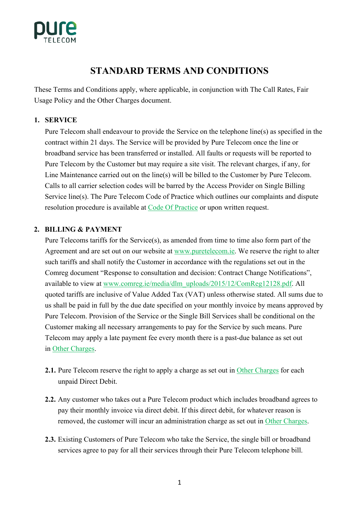

# **STANDARD TERMS AND CONDITIONS**

These Terms and Conditions apply, where applicable, in conjunction with The Call Rates, Fair Usage Policy and the Other Charges document.

## **1. SERVICE**

Pure Telecom shall endeavour to provide the Service on the telephone line(s) as specified in the contract within 21 days. The Service will be provided by Pure Telecom once the line or broadband service has been transferred or installed. All faults or requests will be reported to Pure Telecom by the Customer but may require a site visit. The relevant charges, if any, for Line Maintenance carried out on the line(s) will be billed to the Customer by Pure Telecom. Calls to all carrier selection codes will be barred by the Access Provider on Single Billing Service line(s). The Pure Telecom Code of Practice which outlines our complaints and dispute resolution procedure is available at Code Of Practice or upon written request.

#### **2. BILLING & PAYMENT**

Pure Telecoms tariffs for the Service(s), as amended from time to time also form part of the Agreement and are set out on our website at www.puretelecom.ie. We reserve the right to alter such tariffs and shall notify the Customer in accordance with the regulations set out in the Comreg document "Response to consultation and decision: Contract Change Notifications", available to view at www.comreg.ie/media/dlm\_uploads/2015/12/ComReg12128.pdf. All quoted tariffs are inclusive of Value Added Tax (VAT) unless otherwise stated. All sums due to us shall be paid in full by the due date specified on your monthly invoice by means approved by Pure Telecom. Provision of the Service or the Single Bill Services shall be conditional on the Customer making all necessary arrangements to pay for the Service by such means. Pure Telecom may apply a late payment fee every month there is a past-due balance as set out in Other Charges.

- **2.1.** Pure Telecom reserve the right to apply a charge as set out in Other Charges for each unpaid Direct Debit.
- **2.2.** Any customer who takes out a Pure Telecom product which includes broadband agrees to pay their monthly invoice via direct debit. If this direct debit, for whatever reason is removed, the customer will incur an administration charge as set out in Other Charges.
- **2.3.** Existing Customers of Pure Telecom who take the Service, the single bill or broadband services agree to pay for all their services through their Pure Telecom telephone bill.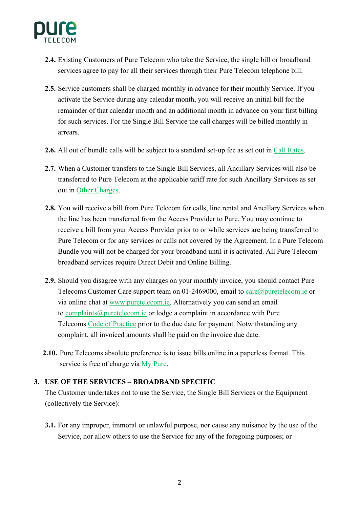

- **2.4.** Existing Customers of Pure Telecom who take the Service, the single bill or broadband services agree to pay for all their services through their Pure Telecom telephone bill.
- **2.5.** Service customers shall be charged monthly in advance for their monthly Service. If you activate the Service during any calendar month, you will receive an initial bill for the remainder of that calendar month and an additional month in advance on your first billing for such services. For the Single Bill Service the call charges will be billed monthly in arrears.
- **2.6.** All out of bundle calls will be subject to a standard set-up fee as set out in Call Rates.
- **2.7.** When a Customer transfers to the Single Bill Services, all Ancillary Services will also be transferred to Pure Telecom at the applicable tariff rate for such Ancillary Services as set out in Other Charges.
- **2.8.** You will receive a bill from Pure Telecom for calls, line rental and Ancillary Services when the line has been transferred from the Access Provider to Pure. You may continue to receive a bill from your Access Provider prior to or while services are being transferred to Pure Telecom or for any services or calls not covered by the Agreement. In a Pure Telecom Bundle you will not be charged for your broadband until it is activated. All Pure Telecom broadband services require Direct Debit and Online Billing.
- **2.9.** Should you disagree with any charges on your monthly invoice, you should contact Pure Telecoms Customer Care support team on 01-2469000, email to care@puretelecom.ie or via online chat at www.puretelecom.ie. Alternatively you can send an email to complaints@puretelecom.ie or lodge a complaint in accordance with Pure Telecoms Code of Practice prior to the due date for payment. Notwithstanding any complaint, all invoiced amounts shall be paid on the invoice due date.
- **2.10.** Pure Telecoms absolute preference is to issue bills online in a paperless format. This service is free of charge via My Pure.

#### **3. USE OF THE SERVICES – BROADBAND SPECIFIC**

The Customer undertakes not to use the Service, the Single Bill Services or the Equipment (collectively the Service):

**3.1.** For any improper, immoral or unlawful purpose, nor cause any nuisance by the use of the Service, nor allow others to use the Service for any of the foregoing purposes; or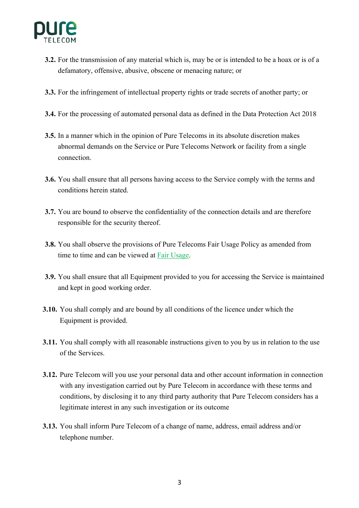

- **3.2.** For the transmission of any material which is, may be or is intended to be a hoax or is of a defamatory, offensive, abusive, obscene or menacing nature; or
- **3.3.** For the infringement of intellectual property rights or trade secrets of another party; or
- **3.4.** For the processing of automated personal data as defined in the Data Protection Act 2018
- **3.5.** In a manner which in the opinion of Pure Telecoms in its absolute discretion makes abnormal demands on the Service or Pure Telecoms Network or facility from a single connection.
- **3.6.** You shall ensure that all persons having access to the Service comply with the terms and conditions herein stated.
- **3.7.** You are bound to observe the confidentiality of the connection details and are therefore responsible for the security thereof.
- **3.8.** You shall observe the provisions of Pure Telecoms Fair Usage Policy as amended from time to time and can be viewed at Fair Usage.
- **3.9.** You shall ensure that all Equipment provided to you for accessing the Service is maintained and kept in good working order.
- **3.10.** You shall comply and are bound by all conditions of the licence under which the Equipment is provided.
- **3.11.** You shall comply with all reasonable instructions given to you by us in relation to the use of the Services.
- **3.12.** Pure Telecom will you use your personal data and other account information in connection with any investigation carried out by Pure Telecom in accordance with these terms and conditions, by disclosing it to any third party authority that Pure Telecom considers has a legitimate interest in any such investigation or its outcome
- **3.13.** You shall inform Pure Telecom of a change of name, address, email address and/or telephone number.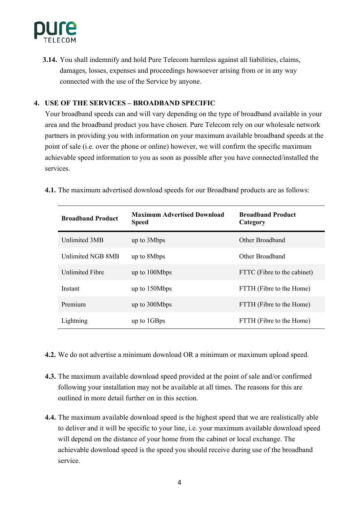

**3.14.** You shall indemnify and hold Pure Telecom harmless against all liabilities, claims, damages, losses, expenses and proceedings howsoever arising from or in any way connected with the use of the Service by anyone.

## **4. USE OF THE SERVICES – BROADBAND SPECIFIC**

Your broadband speeds can and will vary depending on the type of broadband available in your area and the broadband product you have chosen. Pure Telecom rely on our wholesale network partners in providing you with information on your maximum available broadband speeds at the point of sale (i.e. over the phone or online) however, we will confirm the specific maximum achievable speed information to you as soon as possible after you have connected/installed the services.

**4.1.** The maximum advertised download speeds for our Broadband products are as follows:

| <b>Broadband Product</b> | <b>Maximum Advertised Download</b><br><b>Speed</b> | <b>Broadhand Product</b><br>Category |
|--------------------------|----------------------------------------------------|--------------------------------------|
| Unlimited 3MB            | up to 3Mbps                                        | Other Broadband                      |
| <b>Unlimited NGB 8MB</b> | up to 8Mbps                                        | Other Broadband                      |
| <b>Unlimited Fibre</b>   | up to 100Mbps                                      | FTTC (Fibre to the cabinet)          |
| Instant                  | up to 150Mbps                                      | FTTH (Fibre to the Home)             |
| Premium                  | up to 300Mbps                                      | FTTH (Fibre to the Home)             |
| Lightning                | up to 1GBps                                        | FTTH (Fibre to the Home)             |

- **4.2.** We do not advertise a minimum download OR a minimum or maximum upload speed.
- **4.3.** The maximum available download speed provided at the point of sale and/or confirmed following your installation may not be available at all times. The reasons for this are outlined in more detail further on in this section.
- **4.4.** The maximum available download speed is the highest speed that we are realistically able to deliver and it will be specific to your line, i.e. your maximum available download speed will depend on the distance of your home from the cabinet or local exchange. The achievable download speed is the speed you should receive during use of the broadband service.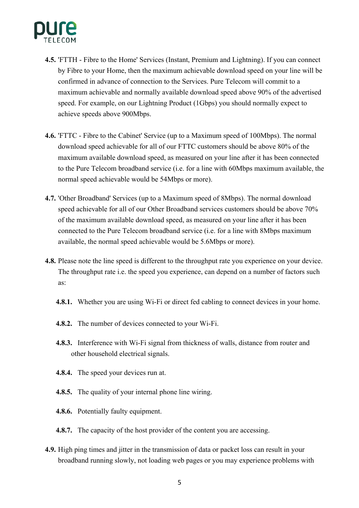

- **4.5.** 'FTTH Fibre to the Home' Services (Instant, Premium and Lightning). If you can connect by Fibre to your Home, then the maximum achievable download speed on your line will be confirmed in advance of connection to the Services. Pure Telecom will commit to a maximum achievable and normally available download speed above 90% of the advertised speed. For example, on our Lightning Product (1Gbps) you should normally expect to achieve speeds above 900Mbps.
- **4.6.** 'FTTC Fibre to the Cabinet' Service (up to a Maximum speed of 100Mbps). The normal download speed achievable for all of our FTTC customers should be above 80% of the maximum available download speed, as measured on your line after it has been connected to the Pure Telecom broadband service (i.e. for a line with 60Mbps maximum available, the normal speed achievable would be 54Mbps or more).
- **4.7.** 'Other Broadband' Services (up to a Maximum speed of 8Mbps). The normal download speed achievable for all of our Other Broadband services customers should be above 70% of the maximum available download speed, as measured on your line after it has been connected to the Pure Telecom broadband service (i.e. for a line with 8Mbps maximum available, the normal speed achievable would be 5.6Mbps or more).
- **4.8.** Please note the line speed is different to the throughput rate you experience on your device. The throughput rate i.e. the speed you experience, can depend on a number of factors such as:
	- **4.8.1.** Whether you are using Wi-Fi or direct fed cabling to connect devices in your home.
	- **4.8.2.** The number of devices connected to your Wi-Fi.
	- **4.8.3.** Interference with Wi-Fi signal from thickness of walls, distance from router and other household electrical signals.
	- **4.8.4.** The speed your devices run at.
	- **4.8.5.** The quality of your internal phone line wiring.
	- **4.8.6.** Potentially faulty equipment.
	- **4.8.7.** The capacity of the host provider of the content you are accessing.
- **4.9.** High ping times and jitter in the transmission of data or packet loss can result in your broadband running slowly, not loading web pages or you may experience problems with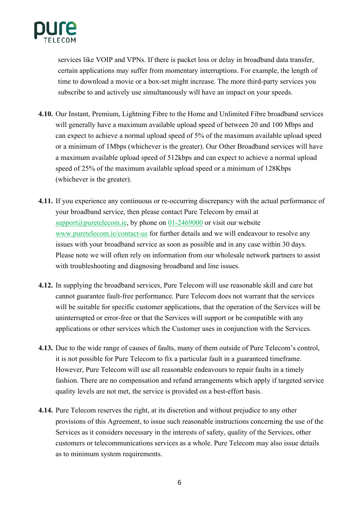

services like VOIP and VPNs. If there is packet loss or delay in broadband data transfer, certain applications may suffer from momentary interruptions. For example, the length of time to download a movie or a box-set might increase. The more third-party services you subscribe to and actively use simultaneously will have an impact on your speeds.

- **4.10.** Our Instant, Premium, Lightning Fibre to the Home and Unlimited Fibre broadband services will generally have a maximum available upload speed of between 20 and 100 Mbps and can expect to achieve a normal upload speed of 5% of the maximum available upload speed or a minimum of 1Mbps (whichever is the greater). Our Other Broadband services will have a maximum available upload speed of 512kbps and can expect to achieve a normal upload speed of 25% of the maximum available upload speed or a minimum of 128Kbps (whichever is the greater).
- **4.11.** If you experience any continuous or re-occurring discrepancy with the actual performance of your broadband service, then please contact Pure Telecom by email at support@puretelecom.ie, by phone on  $01-2469000$  or visit our website www.puretelecom.ie/contact-us for further details and we will endeavour to resolve any issues with your broadband service as soon as possible and in any case within 30 days. Please note we will often rely on information from our wholesale network partners to assist with troubleshooting and diagnosing broadband and line issues.
- **4.12.** In supplying the broadband services, Pure Telecom will use reasonable skill and care but cannot guarantee fault-free performance. Pure Telecom does not warrant that the services will be suitable for specific customer applications, that the operation of the Services will be uninterrupted or error-free or that the Services will support or be compatible with any applications or other services which the Customer uses in conjunction with the Services.
- **4.13.** Due to the wide range of causes of faults, many of them outside of Pure Telecom's control, it is not possible for Pure Telecom to fix a particular fault in a guaranteed timeframe. However, Pure Telecom will use all reasonable endeavours to repair faults in a timely fashion. There are no compensation and refund arrangements which apply if targeted service quality levels are not met, the service is provided on a best-effort basis.
- **4.14.** Pure Telecom reserves the right, at its discretion and without prejudice to any other provisions of this Agreement, to issue such reasonable instructions concerning the use of the Services as it considers necessary in the interests of safety, quality of the Services, other customers or telecommunications services as a whole. Pure Telecom may also issue details as to minimum system requirements.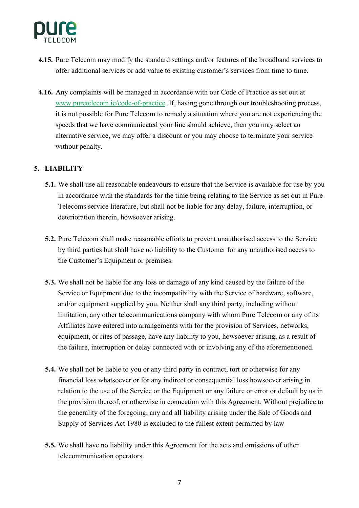

- **4.15.** Pure Telecom may modify the standard settings and/or features of the broadband services to offer additional services or add value to existing customer's services from time to time.
- **4.16.** Any complaints will be managed in accordance with our Code of Practice as set out at www.puretelecom.ie/code-of-practice. If, having gone through our troubleshooting process, it is not possible for Pure Telecom to remedy a situation where you are not experiencing the speeds that we have communicated your line should achieve, then you may select an alternative service, we may offer a discount or you may choose to terminate your service without penalty.

# **5. LIABILITY**

- **5.1.** We shall use all reasonable endeavours to ensure that the Service is available for use by you in accordance with the standards for the time being relating to the Service as set out in Pure Telecoms service literature, but shall not be liable for any delay, failure, interruption, or deterioration therein, howsoever arising.
- **5.2.** Pure Telecom shall make reasonable efforts to prevent unauthorised access to the Service by third parties but shall have no liability to the Customer for any unauthorised access to the Customer's Equipment or premises.
- **5.3.** We shall not be liable for any loss or damage of any kind caused by the failure of the Service or Equipment due to the incompatibility with the Service of hardware, software, and/or equipment supplied by you. Neither shall any third party, including without limitation, any other telecommunications company with whom Pure Telecom or any of its Affiliates have entered into arrangements with for the provision of Services, networks, equipment, or rites of passage, have any liability to you, howsoever arising, as a result of the failure, interruption or delay connected with or involving any of the aforementioned.
- **5.4.** We shall not be liable to you or any third party in contract, tort or otherwise for any financial loss whatsoever or for any indirect or consequential loss howsoever arising in relation to the use of the Service or the Equipment or any failure or error or default by us in the provision thereof, or otherwise in connection with this Agreement. Without prejudice to the generality of the foregoing, any and all liability arising under the Sale of Goods and Supply of Services Act 1980 is excluded to the fullest extent permitted by law
- **5.5.** We shall have no liability under this Agreement for the acts and omissions of other telecommunication operators.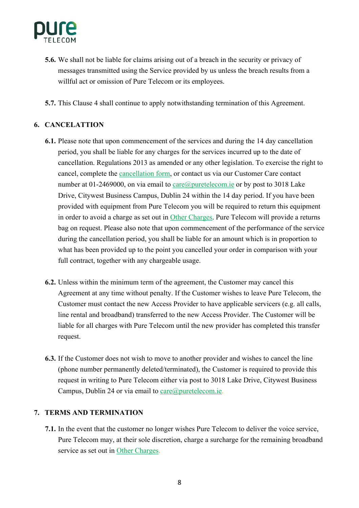

- **5.6.** We shall not be liable for claims arising out of a breach in the security or privacy of messages transmitted using the Service provided by us unless the breach results from a willful act or omission of Pure Telecom or its employees.
- **5.7.** This Clause 4 shall continue to apply notwithstanding termination of this Agreement.

# **6. CANCELATTION**

- **6.1.** Please note that upon commencement of the services and during the 14 day cancellation period, you shall be liable for any charges for the services incurred up to the date of cancellation. Regulations 2013 as amended or any other legislation. To exercise the right to cancel, complete the cancellation form, or contact us via our Customer Care contact number at 01-2469000, on via email to  $\frac{\text{care}(a)\text{puretelecom.}ie}{\text{Com.}ie}$  or by post to 3018 Lake Drive, Citywest Business Campus, Dublin 24 within the 14 day period. If you have been provided with equipment from Pure Telecom you will be required to return this equipment in order to avoid a charge as set out in Other Charges. Pure Telecom will provide a returns bag on request. Please also note that upon commencement of the performance of the service during the cancellation period, you shall be liable for an amount which is in proportion to what has been provided up to the point you cancelled your order in comparison with your full contract, together with any chargeable usage.
- **6.2.** Unless within the minimum term of the agreement, the Customer may cancel this Agreement at any time without penalty. If the Customer wishes to leave Pure Telecom, the Customer must contact the new Access Provider to have applicable servicers (e.g. all calls, line rental and broadband) transferred to the new Access Provider. The Customer will be liable for all charges with Pure Telecom until the new provider has completed this transfer request.
- **6.3.** If the Customer does not wish to move to another provider and wishes to cancel the line (phone number permanently deleted/terminated), the Customer is required to provide this request in writing to Pure Telecom either via post to 3018 Lake Drive, Citywest Business Campus, Dublin 24 or via email to care $@p$ uretelecom.ie.

## **7. TERMS AND TERMINATION**

**7.1.** In the event that the customer no longer wishes Pure Telecom to deliver the voice service, Pure Telecom may, at their sole discretion, charge a surcharge for the remaining broadband service as set out in Other Charges.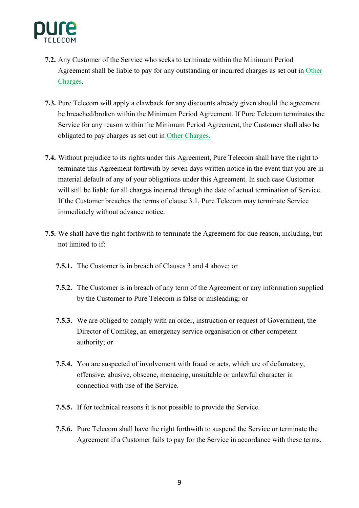

- **7.2.** Any Customer of the Service who seeks to terminate within the Minimum Period Agreement shall be liable to pay for any outstanding or incurred charges as set out in Other Charges.
- **7.3.** Pure Telecom will apply a clawback for any discounts already given should the agreement be breached/broken within the Minimum Period Agreement. If Pure Telecom terminates the Service for any reason within the Minimum Period Agreement, the Customer shall also be obligated to pay charges as set out in Other Charges.
- **7.4.** Without prejudice to its rights under this Agreement, Pure Telecom shall have the right to terminate this Agreement forthwith by seven days written notice in the event that you are in material default of any of your obligations under this Agreement. In such case Customer will still be liable for all charges incurred through the date of actual termination of Service. If the Customer breaches the terms of clause 3.1, Pure Telecom may terminate Service immediately without advance notice.
- **7.5.** We shall have the right forthwith to terminate the Agreement for due reason, including, but not limited to if:
	- **7.5.1.** The Customer is in breach of Clauses 3 and 4 above; or
	- **7.5.2.** The Customer is in breach of any term of the Agreement or any information supplied by the Customer to Pure Telecom is false or misleading; or
	- **7.5.3.** We are obliged to comply with an order, instruction or request of Government, the Director of ComReg, an emergency service organisation or other competent authority; or
	- **7.5.4.** You are suspected of involvement with fraud or acts, which are of defamatory, offensive, abusive, obscene, menacing, unsuitable or unlawful character in connection with use of the Service.
	- **7.5.5.** If for technical reasons it is not possible to provide the Service.
	- **7.5.6.** Pure Telecom shall have the right forthwith to suspend the Service or terminate the Agreement if a Customer fails to pay for the Service in accordance with these terms.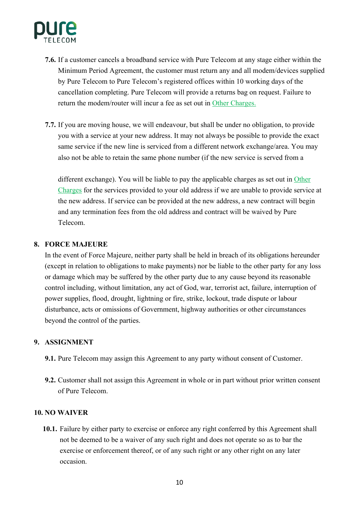

- **7.6.** If a customer cancels a broadband service with Pure Telecom at any stage either within the Minimum Period Agreement, the customer must return any and all modem/devices supplied by Pure Telecom to Pure Telecom's registered offices within 10 working days of the cancellation completing. Pure Telecom will provide a returns bag on request. Failure to return the modem/router will incur a fee as set out in Other Charges.
- **7.7.** If you are moving house, we will endeavour, but shall be under no obligation, to provide you with a service at your new address. It may not always be possible to provide the exact same service if the new line is serviced from a different network exchange/area. You may also not be able to retain the same phone number (if the new service is served from a

different exchange). You will be liable to pay the applicable charges as set out in Other Charges for the services provided to your old address if we are unable to provide service at the new address. If service can be provided at the new address, a new contract will begin and any termination fees from the old address and contract will be waived by Pure Telecom.

#### **8. FORCE MAJEURE**

In the event of Force Majeure, neither party shall be held in breach of its obligations hereunder (except in relation to obligations to make payments) nor be liable to the other party for any loss or damage which may be suffered by the other party due to any cause beyond its reasonable control including, without limitation, any act of God, war, terrorist act, failure, interruption of power supplies, flood, drought, lightning or fire, strike, lockout, trade dispute or labour disturbance, acts or omissions of Government, highway authorities or other circumstances beyond the control of the parties.

#### **9. ASSIGNMENT**

- **9.1.** Pure Telecom may assign this Agreement to any party without consent of Customer.
- **9.2.** Customer shall not assign this Agreement in whole or in part without prior written consent of Pure Telecom.

#### **10. NO WAIVER**

**10.1.** Failure by either party to exercise or enforce any right conferred by this Agreement shall not be deemed to be a waiver of any such right and does not operate so as to bar the exercise or enforcement thereof, or of any such right or any other right on any later occasion.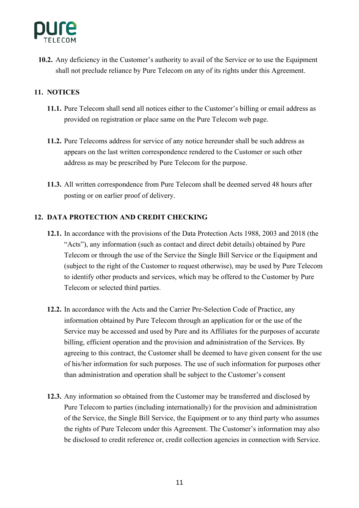

**10.2.** Any deficiency in the Customer's authority to avail of the Service or to use the Equipment shall not preclude reliance by Pure Telecom on any of its rights under this Agreement.

# **11. NOTICES**

- **11.1.** Pure Telecom shall send all notices either to the Customer's billing or email address as provided on registration or place same on the Pure Telecom web page.
- **11.2.** Pure Telecoms address for service of any notice hereunder shall be such address as appears on the last written correspondence rendered to the Customer or such other address as may be prescribed by Pure Telecom for the purpose.
- **11.3.** All written correspondence from Pure Telecom shall be deemed served 48 hours after posting or on earlier proof of delivery.

# **12. DATA PROTECTION AND CREDIT CHECKING**

- **12.1.** In accordance with the provisions of the Data Protection Acts 1988, 2003 and 2018 (the "Acts"), any information (such as contact and direct debit details) obtained by Pure Telecom or through the use of the Service the Single Bill Service or the Equipment and (subject to the right of the Customer to request otherwise), may be used by Pure Telecom to identify other products and services, which may be offered to the Customer by Pure Telecom or selected third parties.
- **12.2.** In accordance with the Acts and the Carrier Pre-Selection Code of Practice, any information obtained by Pure Telecom through an application for or the use of the Service may be accessed and used by Pure and its Affiliates for the purposes of accurate billing, efficient operation and the provision and administration of the Services. By agreeing to this contract, the Customer shall be deemed to have given consent for the use of his/her information for such purposes. The use of such information for purposes other than administration and operation shall be subject to the Customer's consent
- **12.3.** Any information so obtained from the Customer may be transferred and disclosed by Pure Telecom to parties (including internationally) for the provision and administration of the Service, the Single Bill Service, the Equipment or to any third party who assumes the rights of Pure Telecom under this Agreement. The Customer's information may also be disclosed to credit reference or, credit collection agencies in connection with Service.